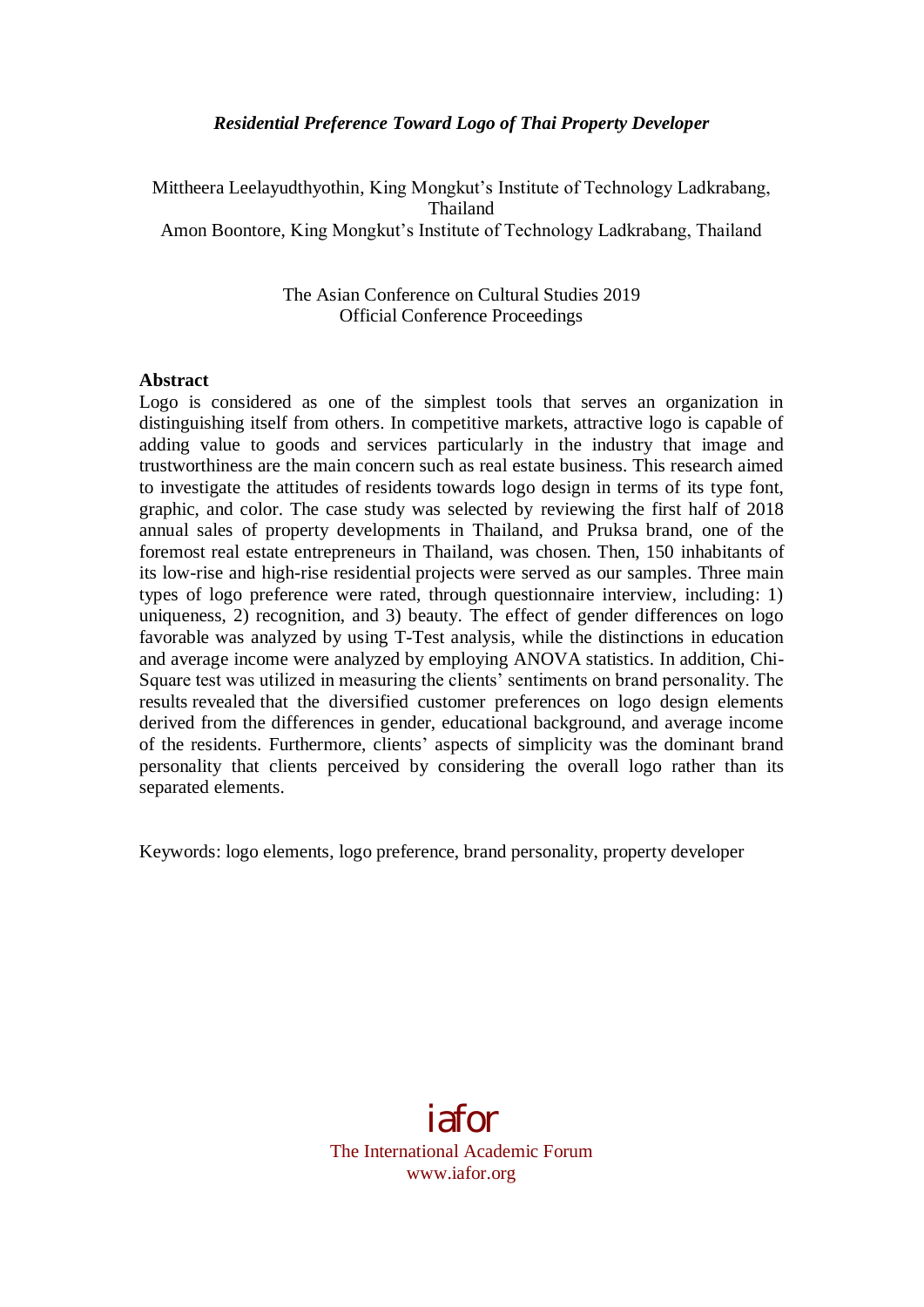### *Residential Preference Toward Logo of Thai Property Developer*

Mittheera Leelayudthyothin, King Mongkut's Institute of Technology Ladkrabang, Thailand Amon Boontore, King Mongkut's Institute of Technology Ladkrabang, Thailand

> The Asian Conference on Cultural Studies 2019 Official Conference Proceedings

#### **Abstract**

Logo is considered as one of the simplest tools that serves an organization in distinguishing itself from others. In competitive markets, attractive logo is capable of adding value to goods and services particularly in the industry that image and trustworthiness are the main concern such as real estate business. This research aimed to investigate the attitudes of residents towards logo design in terms of its type font, graphic, and color. The case study was selected by reviewing the first half of 2018 annual sales of property developments in Thailand, and Pruksa brand, one of the foremost real estate entrepreneurs in Thailand, was chosen. Then, 150 inhabitants of its low-rise and high-rise residential projects were served as our samples. Three main types of logo preference were rated, through questionnaire interview, including: 1) uniqueness, 2) recognition, and 3) beauty. The effect of gender differences on logo favorable was analyzed by using T-Test analysis, while the distinctions in education and average income were analyzed by employing ANOVA statistics. In addition, Chi-Square test was utilized in measuring the clients' sentiments on brand personality. The results revealed that the diversified customer preferences on logo design elements derived from the differences in gender, educational background, and average income of the residents. Furthermore, clients' aspects of simplicity was the dominant brand personality that clients perceived by considering the overall logo rather than its separated elements.

Keywords: logo elements, logo preference, brand personality, property developer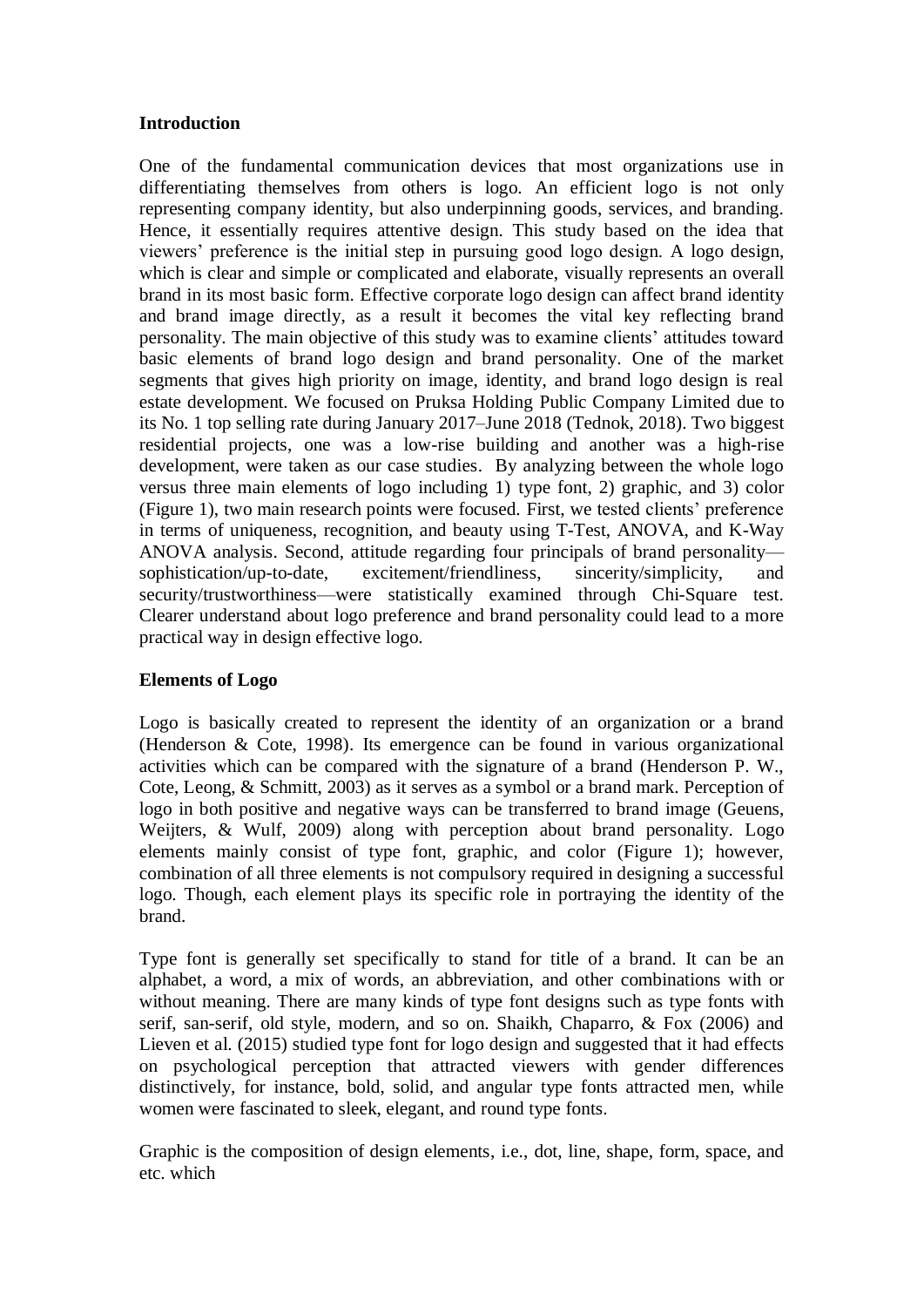### **Introduction**

One of the fundamental communication devices that most organizations use in differentiating themselves from others is logo. An efficient logo is not only representing company identity, but also underpinning goods, services, and branding. Hence, it essentially requires attentive design. This study based on the idea that viewers' preference is the initial step in pursuing good logo design. A logo design, which is clear and simple or complicated and elaborate, visually represents an overall brand in its most basic form. Effective corporate logo design can affect brand identity and brand image directly, as a result it becomes the vital key reflecting brand personality. The main objective of this study was to examine clients' attitudes toward basic elements of brand logo design and brand personality. One of the market segments that gives high priority on image, identity, and brand logo design is real estate development. We focused on Pruksa Holding Public Company Limited due to its No. 1 top selling rate during January 2017–June 2018 (Tednok, 2018). Two biggest residential projects, one was a low-rise building and another was a high-rise development, were taken as our case studies. By analyzing between the whole logo versus three main elements of logo including 1) type font, 2) graphic, and 3) color (Figure 1), two main research points were focused. First, we tested clients' preference in terms of uniqueness, recognition, and beauty using T-Test, ANOVA, and K-Way ANOVA analysis. Second, attitude regarding four principals of brand personality sophistication/up-to-date, excitement/friendliness, sincerity/simplicity, and security/trustworthiness—were statistically examined through Chi-Square test. Clearer understand about logo preference and brand personality could lead to a more practical way in design effective logo.

# **Elements of Logo**

Logo is basically created to represent the identity of an organization or a brand (Henderson & Cote, 1998). Its emergence can be found in various organizational activities which can be compared with the signature of a brand (Henderson P. W., Cote, Leong, & Schmitt, 2003) as it serves as a symbol or a brand mark. Perception of logo in both positive and negative ways can be transferred to brand image (Geuens, Weijters, & Wulf, 2009) along with perception about brand personality. Logo elements mainly consist of type font, graphic, and color (Figure 1); however, combination of all three elements is not compulsory required in designing a successful logo. Though, each element plays its specific role in portraying the identity of the brand.

Type font is generally set specifically to stand for title of a brand. It can be an alphabet, a word, a mix of words, an abbreviation, and other combinations with or without meaning. There are many kinds of type font designs such as type fonts with serif, san-serif, old style, modern, and so on. Shaikh, Chaparro, & Fox (2006) and Lieven et al. (2015) studied type font for logo design and suggested that it had effects on psychological perception that attracted viewers with gender differences distinctively, for instance, bold, solid, and angular type fonts attracted men, while women were fascinated to sleek, elegant, and round type fonts.

Graphic is the composition of design elements, i.e., dot, line, shape, form, space, and etc. which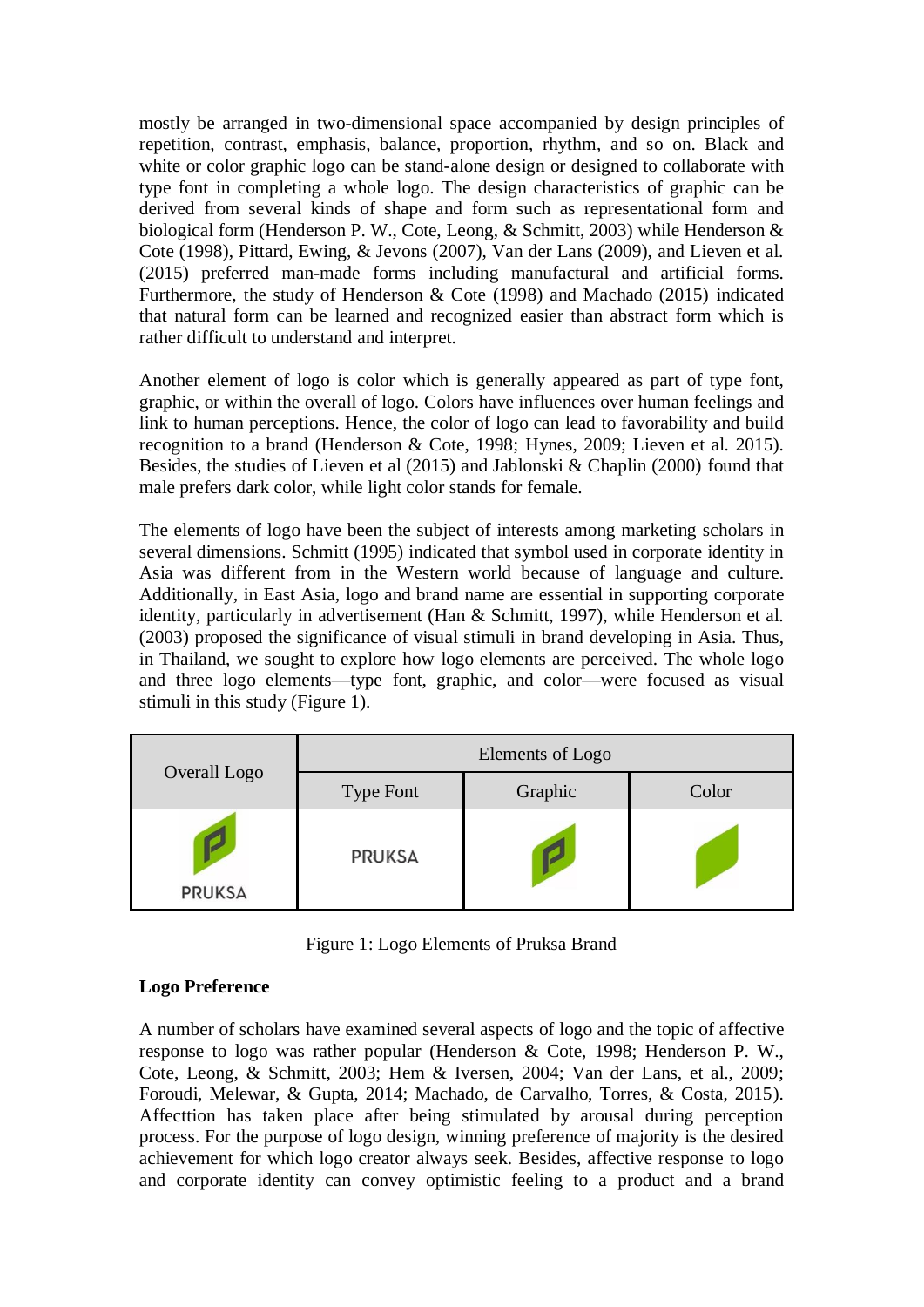mostly be arranged in two-dimensional space accompanied by design principles of repetition, contrast, emphasis, balance, proportion, rhythm, and so on. Black and white or color graphic logo can be stand-alone design or designed to collaborate with type font in completing a whole logo. The design characteristics of graphic can be derived from several kinds of shape and form such as representational form and biological form (Henderson P. W., Cote, Leong, & Schmitt, 2003) while Henderson & Cote (1998), Pittard, Ewing, & Jevons (2007), Van der Lans (2009), and Lieven et al. (2015) preferred man-made forms including manufactural and artificial forms. Furthermore, the study of Henderson & Cote (1998) and Machado (2015) indicated that natural form can be learned and recognized easier than abstract form which is rather difficult to understand and interpret.

Another element of logo is color which is generally appeared as part of type font, graphic, or within the overall of logo. Colors have influences over human feelings and link to human perceptions. Hence, the color of logo can lead to favorability and build recognition to a brand (Henderson & Cote, 1998; Hynes, 2009; Lieven et al. 2015). Besides, the studies of Lieven et al (2015) and Jablonski & Chaplin (2000) found that male prefers dark color, while light color stands for female.

The elements of logo have been the subject of interests among marketing scholars in several dimensions. Schmitt (1995) indicated that symbol used in corporate identity in Asia was different from in the Western world because of language and culture. Additionally, in East Asia, logo and brand name are essential in supporting corporate identity, particularly in advertisement (Han & Schmitt, 1997), while Henderson et al. (2003) proposed the significance of visual stimuli in brand developing in Asia. Thus, in Thailand, we sought to explore how logo elements are perceived. The whole logo and three logo elements—type font, graphic, and color—were focused as visual stimuli in this study (Figure 1).

|               | Elements of Logo |         |       |  |  |  |
|---------------|------------------|---------|-------|--|--|--|
| Overall Logo  | <b>Type Font</b> | Graphic | Color |  |  |  |
| <b>PRUKSA</b> | <b>PRUKSA</b>    |         |       |  |  |  |

Figure 1: Logo Elements of Pruksa Brand

# **Logo Preference**

A number of scholars have examined several aspects of logo and the topic of affective response to logo was rather popular (Henderson & Cote, 1998; Henderson P. W., Cote, Leong, & Schmitt, 2003; Hem & Iversen, 2004; Van der Lans, et al., 2009; Foroudi, Melewar, & Gupta, 2014; Machado, de Carvalho, Torres, & Costa, 2015). Affecttion has taken place after being stimulated by arousal during perception process. For the purpose of logo design, winning preference of majority is the desired achievement for which logo creator always seek. Besides, affective response to logo and corporate identity can convey optimistic feeling to a product and a brand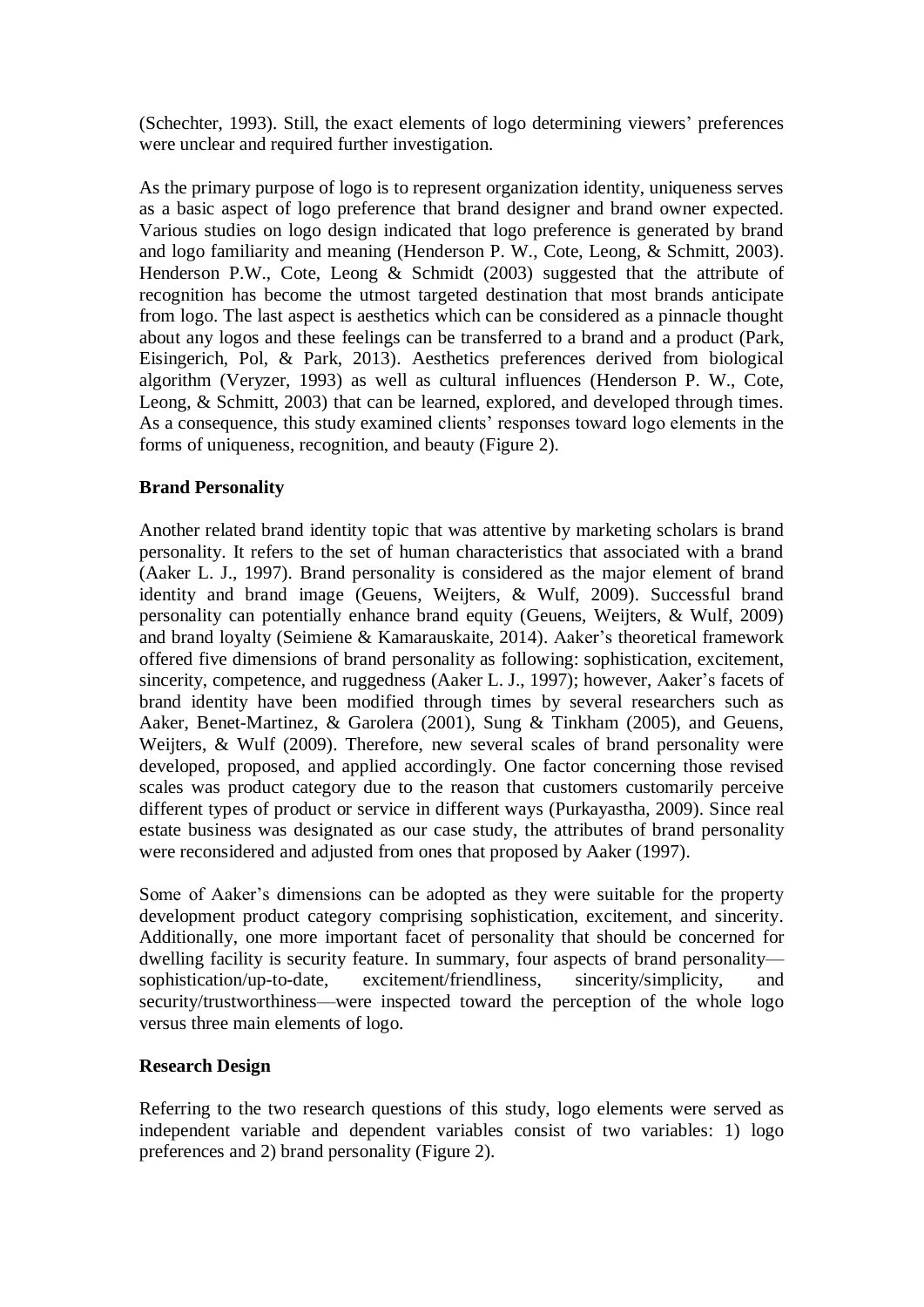(Schechter, 1993). Still, the exact elements of logo determining viewers' preferences were unclear and required further investigation.

As the primary purpose of logo is to represent organization identity, uniqueness serves as a basic aspect of logo preference that brand designer and brand owner expected. Various studies on logo design indicated that logo preference is generated by brand and logo familiarity and meaning (Henderson P. W., Cote, Leong, & Schmitt, 2003). Henderson P.W., Cote, Leong & Schmidt (2003) suggested that the attribute of recognition has become the utmost targeted destination that most brands anticipate from logo. The last aspect is aesthetics which can be considered as a pinnacle thought about any logos and these feelings can be transferred to a brand and a product (Park, Eisingerich, Pol, & Park, 2013). Aesthetics preferences derived from biological algorithm (Veryzer, 1993) as well as cultural influences (Henderson P. W., Cote, Leong, & Schmitt, 2003) that can be learned, explored, and developed through times. As a consequence, this study examined clients' responses toward logo elements in the forms of uniqueness, recognition, and beauty (Figure 2).

### **Brand Personality**

Another related brand identity topic that was attentive by marketing scholars is brand personality. It refers to the set of human characteristics that associated with a brand (Aaker L. J., 1997). Brand personality is considered as the major element of brand identity and brand image (Geuens, Weijters, & Wulf, 2009). Successful brand personality can potentially enhance brand equity (Geuens, Weijters, & Wulf, 2009) and brand loyalty (Seimiene & Kamarauskaite, 2014). Aaker's theoretical framework offered five dimensions of brand personality as following: sophistication, excitement, sincerity, competence, and ruggedness (Aaker L. J., 1997); however, Aaker's facets of brand identity have been modified through times by several researchers such as Aaker, Benet-Martinez, & Garolera (2001), Sung & Tinkham (2005), and Geuens, Weijters, & Wulf (2009). Therefore, new several scales of brand personality were developed, proposed, and applied accordingly. One factor concerning those revised scales was product category due to the reason that customers customarily perceive different types of product or service in different ways (Purkayastha, 2009). Since real estate business was designated as our case study, the attributes of brand personality were reconsidered and adjusted from ones that proposed by Aaker (1997).

Some of Aaker's dimensions can be adopted as they were suitable for the property development product category comprising sophistication, excitement, and sincerity. Additionally, one more important facet of personality that should be concerned for dwelling facility is security feature. In summary, four aspects of brand personality sophistication/up-to-date, excitement/friendliness, sincerity/simplicity, and security/trustworthiness—were inspected toward the perception of the whole logo versus three main elements of logo.

#### **Research Design**

Referring to the two research questions of this study, logo elements were served as independent variable and dependent variables consist of two variables: 1) logo preferences and 2) brand personality (Figure 2).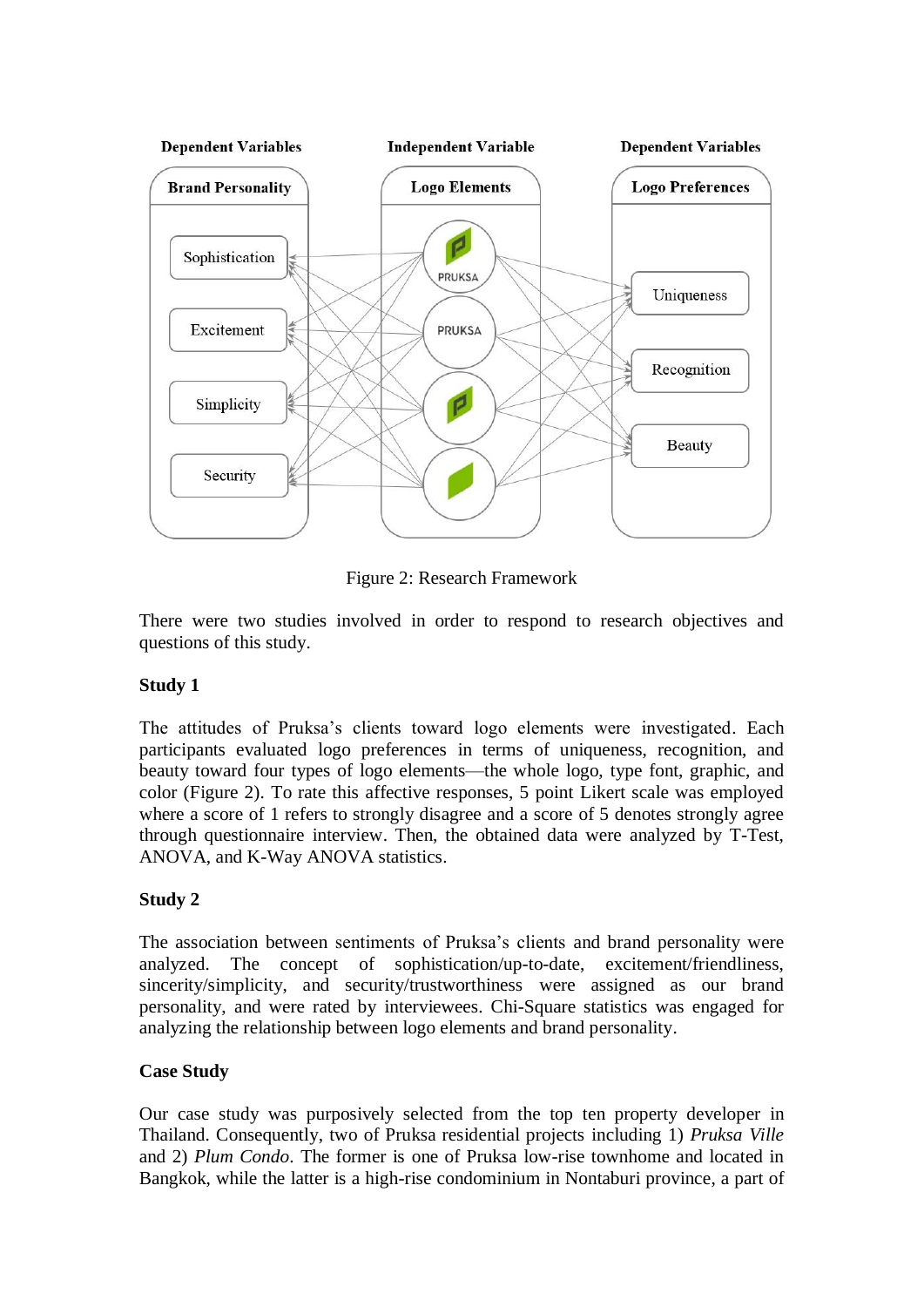

Figure 2: Research Framework

There were two studies involved in order to respond to research objectives and questions of this study.

# **Study 1**

The attitudes of Pruksa's clients toward logo elements were investigated. Each participants evaluated logo preferences in terms of uniqueness, recognition, and beauty toward four types of logo elements—the whole logo, type font, graphic, and color (Figure 2). To rate this affective responses, 5 point Likert scale was employed where a score of 1 refers to strongly disagree and a score of 5 denotes strongly agree through questionnaire interview. Then, the obtained data were analyzed by T-Test, ANOVA, and K-Way ANOVA statistics.

# **Study 2**

The association between sentiments of Pruksa's clients and brand personality were analyzed. The concept of sophistication/up-to-date, excitement/friendliness, sincerity/simplicity, and security/trustworthiness were assigned as our brand personality, and were rated by interviewees. Chi-Square statistics was engaged for analyzing the relationship between logo elements and brand personality.

#### **Case Study**

Our case study was purposively selected from the top ten property developer in Thailand. Consequently, two of Pruksa residential projects including 1) *Pruksa Ville* and 2) *Plum Condo*. The former is one of Pruksa low-rise townhome and located in Bangkok, while the latter is a high-rise condominium in Nontaburi province, a part of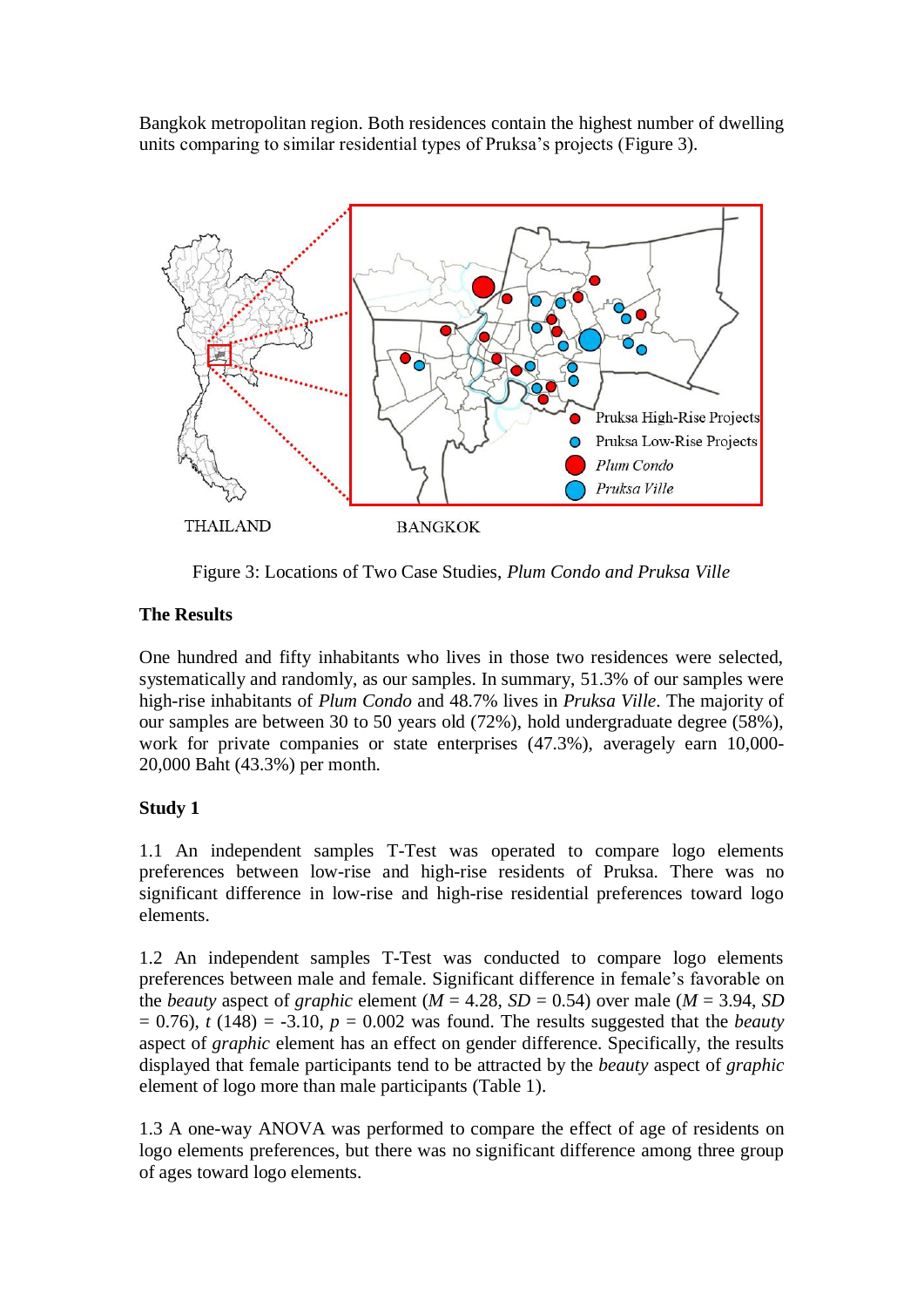Bangkok metropolitan region. Both residences contain the highest number of dwelling units comparing to similar residential types of Pruksa's projects (Figure 3).



Figure 3: Locations of Two Case Studies, *Plum Condo and Pruksa Ville*

# **The Results**

One hundred and fifty inhabitants who lives in those two residences were selected, systematically and randomly, as our samples. In summary, 51.3% of our samples were high-rise inhabitants of *Plum Condo* and 48.7% lives in *Pruksa Ville*. The majority of our samples are between 30 to 50 years old (72%), hold undergraduate degree (58%), work for private companies or state enterprises (47.3%), averagely earn 10,000- 20,000 Baht (43.3%) per month.

# **Study 1**

1.1 An independent samples T-Test was operated to compare logo elements preferences between low-rise and high-rise residents of Pruksa. There was no significant difference in low-rise and high-rise residential preferences toward logo elements.

1.2 An independent samples T-Test was conducted to compare logo elements preferences between male and female. Significant difference in female's favorable on the *beauty* aspect of *graphic* element ( $M = 4.28$ ,  $SD = 0.54$ ) over male ( $M = 3.94$ , *SD*  $= 0.76$ , *t* (148) = -3.10,  $p = 0.002$  was found. The results suggested that the *beauty* aspect of *graphic* element has an effect on gender difference. Specifically, the results displayed that female participants tend to be attracted by the *beauty* aspect of *graphic* element of logo more than male participants (Table 1).

1.3 A one-way ANOVA was performed to compare the effect of age of residents on logo elements preferences, but there was no significant difference among three group of ages toward logo elements.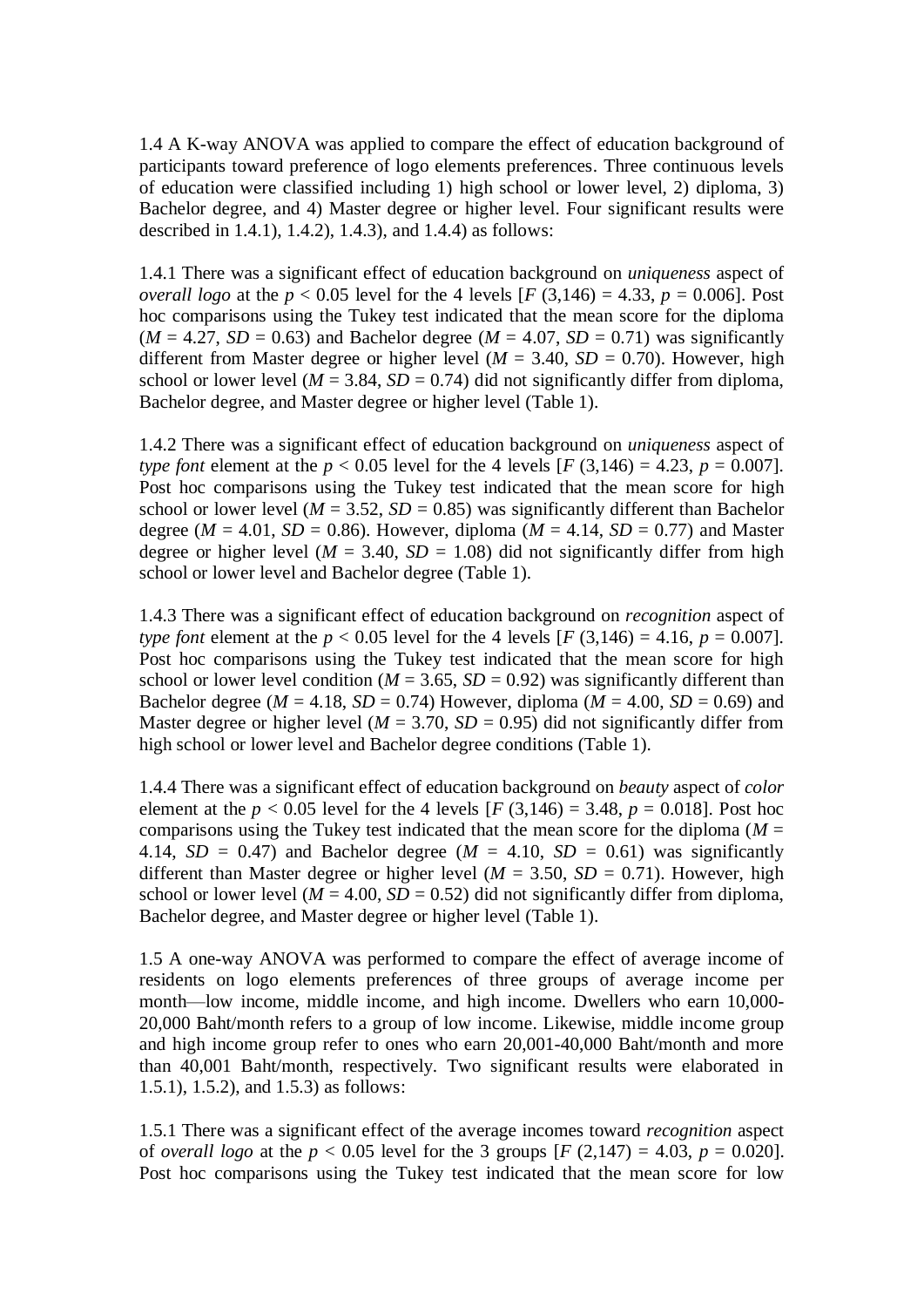1.4 A K-way ANOVA was applied to compare the effect of education background of participants toward preference of logo elements preferences. Three continuous levels of education were classified including 1) high school or lower level, 2) diploma, 3) Bachelor degree, and 4) Master degree or higher level. Four significant results were described in 1.4.1), 1.4.2), 1.4.3), and 1.4.4) as follows:

1.4.1 There was a significant effect of education background on *uniqueness* aspect of *overall logo* at the  $p < 0.05$  level for the 4 levels  $[F (3,146) = 4.33, p = 0.006]$ . Post hoc comparisons using the Tukey test indicated that the mean score for the diploma  $(M = 4.27, SD = 0.63)$  and Bachelor degree  $(M = 4.07, SD = 0.71)$  was significantly different from Master degree or higher level ( $M = 3.40$ ,  $SD = 0.70$ ). However, high school or lower level ( $M = 3.84$ ,  $SD = 0.74$ ) did not significantly differ from diploma, Bachelor degree, and Master degree or higher level (Table 1).

1.4.2 There was a significant effect of education background on *uniqueness* aspect of *type font* element at the  $p < 0.05$  level for the 4 levels  $[F(3,146) = 4.23, p = 0.007]$ . Post hoc comparisons using the Tukey test indicated that the mean score for high school or lower level ( $M = 3.52$ ,  $SD = 0.85$ ) was significantly different than Bachelor degree ( $M = 4.01$ ,  $SD = 0.86$ ). However, diploma ( $M = 4.14$ ,  $SD = 0.77$ ) and Master degree or higher level ( $M = 3.40$ ,  $SD = 1.08$ ) did not significantly differ from high school or lower level and Bachelor degree (Table 1).

1.4.3 There was a significant effect of education background on *recognition* aspect of *type font* element at the  $p < 0.05$  level for the 4 levels [*F* (3,146) = 4.16,  $p = 0.007$ ]. Post hoc comparisons using the Tukey test indicated that the mean score for high school or lower level condition ( $M = 3.65$ ,  $SD = 0.92$ ) was significantly different than Bachelor degree ( $M = 4.18$ ,  $SD = 0.74$ ) However, diploma ( $M = 4.00$ ,  $SD = 0.69$ ) and Master degree or higher level ( $M = 3.70$ ,  $SD = 0.95$ ) did not significantly differ from high school or lower level and Bachelor degree conditions (Table 1).

1.4.4 There was a significant effect of education background on *beauty* aspect of *color*  element at the  $p < 0.05$  level for the 4 levels  $[F(3,146) = 3.48, p = 0.018]$ . Post hoc comparisons using the Tukey test indicated that the mean score for the diploma ( $M =$ 4.14,  $SD = 0.47$ ) and Bachelor degree ( $M = 4.10$ ,  $SD = 0.61$ ) was significantly different than Master degree or higher level ( $M = 3.50$ ,  $SD = 0.71$ ). However, high school or lower level ( $M = 4.00$ ,  $SD = 0.52$ ) did not significantly differ from diploma, Bachelor degree, and Master degree or higher level (Table 1).

1.5 A one-way ANOVA was performed to compare the effect of average income of residents on logo elements preferences of three groups of average income per month—low income, middle income, and high income. Dwellers who earn 10,000- 20,000 Baht/month refers to a group of low income. Likewise, middle income group and high income group refer to ones who earn 20,001-40,000 Baht/month and more than 40,001 Baht/month, respectively. Two significant results were elaborated in 1.5.1), 1.5.2), and 1.5.3) as follows:

1.5.1 There was a significant effect of the average incomes toward *recognition* aspect of *overall logo* at the  $p < 0.05$  level for the 3 groups  $[F (2, 147) = 4.03, p = 0.020]$ . Post hoc comparisons using the Tukey test indicated that the mean score for low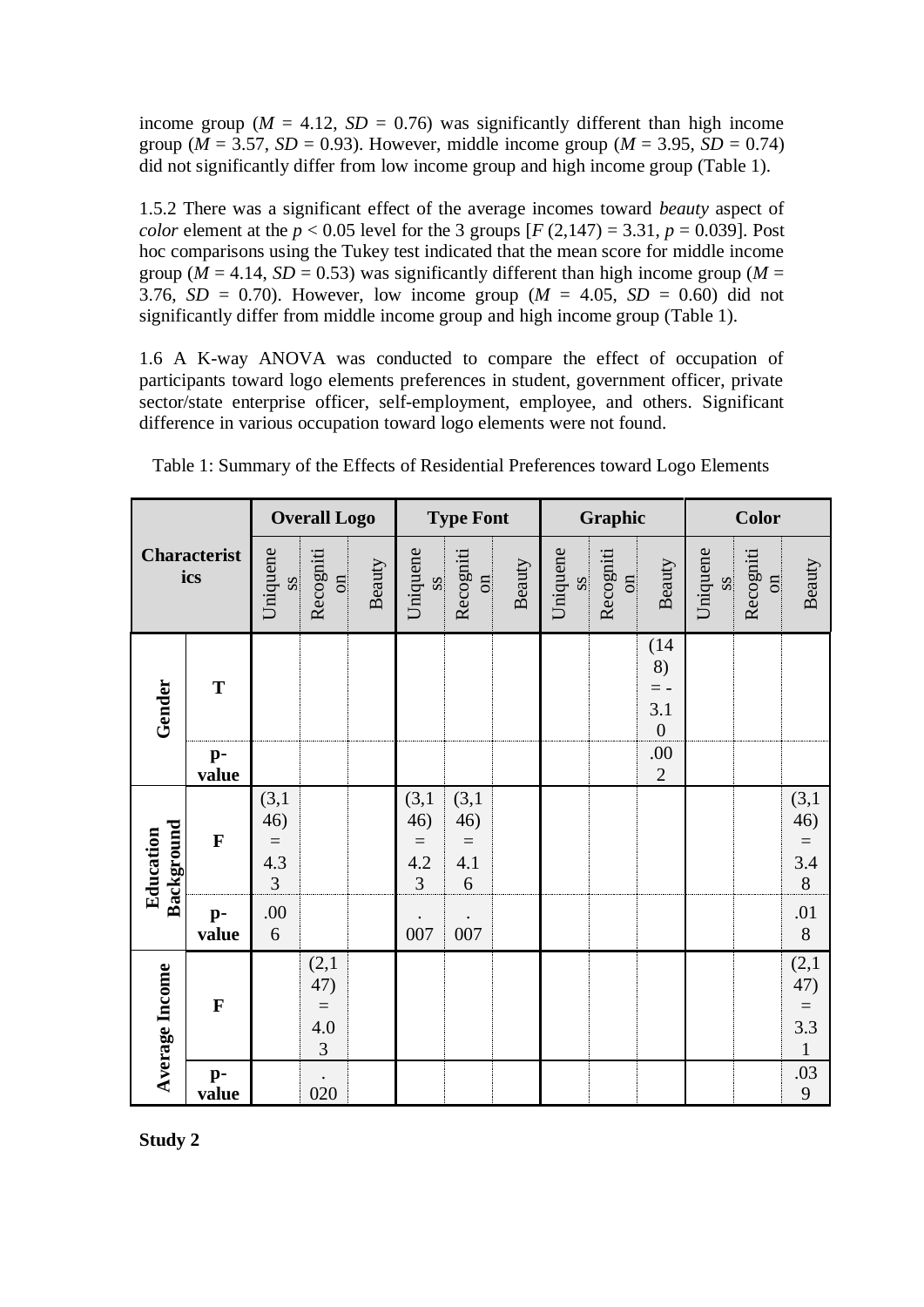income group ( $M = 4.12$ ,  $SD = 0.76$ ) was significantly different than high income group ( $M = 3.57$ ,  $SD = 0.93$ ). However, middle income group ( $M = 3.95$ ,  $SD = 0.74$ ) did not significantly differ from low income group and high income group (Table 1).

1.5.2 There was a significant effect of the average incomes toward *beauty* aspect of *color* element at the  $p < 0.05$  level for the 3 groups  $[F (2, 147) = 3.31, p = 0.039]$ . Post hoc comparisons using the Tukey test indicated that the mean score for middle income group ( $\overline{M}$  = 4.14, *SD* = 0.53) was significantly different than high income group ( $M$  = 3.76,  $SD = 0.70$ ). However, low income group ( $M = 4.05$ ,  $SD = 0.60$ ) did not significantly differ from middle income group and high income group (Table 1).

1.6 A K-way ANOVA was conducted to compare the effect of occupation of participants toward logo elements preferences in student, government officer, private sector/state enterprise officer, self-employment, employee, and others. Significant difference in various occupation toward logo elements were not found.

| <b>Characterist</b><br>ics |                         | <b>Overall Logo</b>                          |                                               | <b>Type Font</b> |                                              | Graphic                                       |        |                                    | <b>Color</b>                        |                                                |                                    |                                    |                                              |
|----------------------------|-------------------------|----------------------------------------------|-----------------------------------------------|------------------|----------------------------------------------|-----------------------------------------------|--------|------------------------------------|-------------------------------------|------------------------------------------------|------------------------------------|------------------------------------|----------------------------------------------|
|                            |                         | Uniquene<br>$\overline{\text{ss}}$           | Recogniti<br>$\overline{\text{m}}$            | Beauty           | Uniquene<br>$\overline{\text{ss}}$           | Recogniti<br>$\overline{\text{no}}$           | Beauty | Uniquene<br>$\overline{\text{ss}}$ | Recogniti<br>$\overline{\text{cm}}$ | Beauty                                         | Uniquene<br>$\overline{\text{ss}}$ | Recogniti<br>$\overline{\text{m}}$ | Beauty                                       |
| Gender                     | $\mathbf T$             |                                              |                                               |                  |                                              |                                               |        |                                    |                                     | (14)<br>8)<br>$=$ -<br>3.1<br>$\boldsymbol{0}$ |                                    |                                    |                                              |
|                            | $p-$<br>value           |                                              |                                               |                  |                                              |                                               |        |                                    |                                     | .00<br>$\overline{2}$                          |                                    |                                    |                                              |
| Background<br>Education    | $\mathbf{F}$            | (3,1)<br>46)<br>$=$<br>4.3<br>$\overline{3}$ |                                               |                  | (3,1)<br>46)<br>$=$<br>4.2<br>$\overline{3}$ | (3,1)<br>46)<br>$\equiv$<br>4.1<br>$\sqrt{6}$ |        |                                    |                                     |                                                |                                    |                                    | $(3,1)$<br>46)<br>$=$<br>3.4<br>8            |
|                            | $p-$<br>value           | .00<br>6                                     |                                               |                  | 007                                          | 007                                           |        |                                    |                                     |                                                |                                    |                                    | $\begin{array}{c} .01 \\ 8 \end{array}$      |
| Average Income             | $\mathbf F$             |                                              | (2,1)<br>47)<br>$\qquad \qquad =$<br>4.0<br>3 |                  |                                              |                                               |        |                                    |                                     |                                                |                                    |                                    | $(2,1)$<br>47)<br>$=$<br>3.3<br>$\mathbf{1}$ |
|                            | $\mathbf{p}$ -<br>value |                                              | 020                                           |                  |                                              |                                               |        |                                    |                                     |                                                |                                    |                                    | .03<br>9                                     |

Table 1: Summary of the Effects of Residential Preferences toward Logo Elements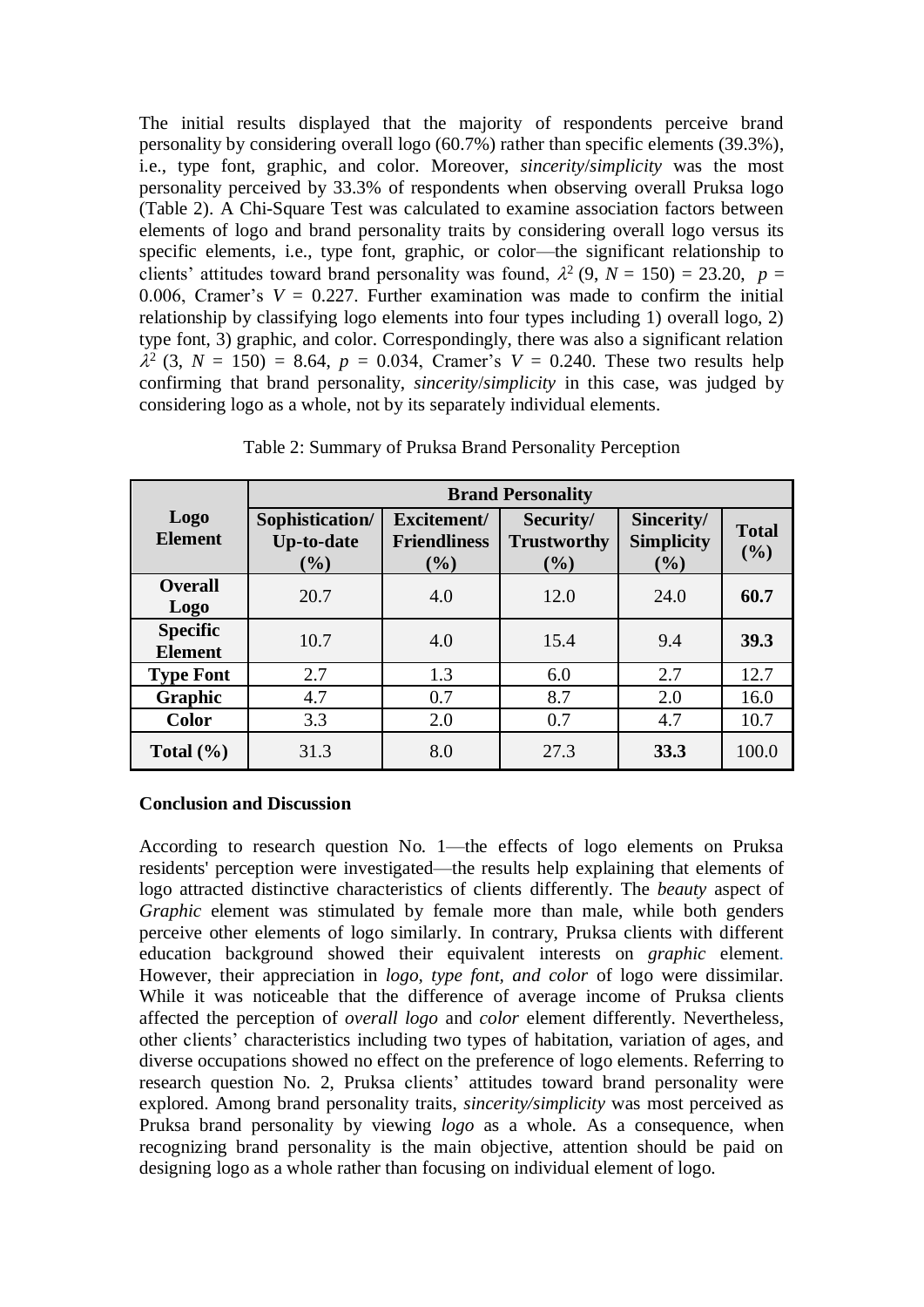The initial results displayed that the majority of respondents perceive brand personality by considering overall logo (60.7%) rather than specific elements (39.3%), i.e., type font, graphic, and color. Moreover, *sincerity*/*simplicity* was the most personality perceived by 33.3% of respondents when observing overall Pruksa logo (Table 2). A Chi-Square Test was calculated to examine association factors between elements of logo and brand personality traits by considering overall logo versus its specific elements, i.e., type font, graphic, or color—the significant relationship to clients' attitudes toward brand personality was found,  $\lambda^2$  (9, *N* = 150) = 23.20, *p* = 0.006, Cramer's  $V = 0.227$ . Further examination was made to confirm the initial relationship by classifying logo elements into four types including 1) overall logo, 2) type font, 3) graphic, and color. Correspondingly, there was also a significant relation  $\lambda^2$  (3, *N* = 150) = 8.64, *p* = 0.034, Cramer's *V* = 0.240. These two results help confirming that brand personality, *sincerity*/*simplicity* in this case, was judged by considering logo as a whole, not by its separately individual elements.

|                                   | <b>Brand Personality</b>                       |                                              |                                        |                                           |                     |  |  |  |  |
|-----------------------------------|------------------------------------------------|----------------------------------------------|----------------------------------------|-------------------------------------------|---------------------|--|--|--|--|
| <b>Logo</b><br><b>Element</b>     | Sophistication/<br><b>Up-to-date</b><br>$(\%)$ | Excitement/<br><b>Friendliness</b><br>$(\%)$ | Security/<br><b>Trustworthy</b><br>(%) | Sincerity/<br><b>Simplicity</b><br>$(\%)$ | <b>Total</b><br>(%) |  |  |  |  |
| <b>Overall</b><br><b>Logo</b>     | 20.7                                           | 4.0                                          | 12.0                                   | 24.0                                      | 60.7                |  |  |  |  |
| <b>Specific</b><br><b>Element</b> | 10.7                                           | 4.0                                          | 15.4                                   | 9.4                                       | 39.3                |  |  |  |  |
| <b>Type Font</b>                  | 2.7                                            | 1.3                                          | 6.0                                    | 2.7                                       | 12.7                |  |  |  |  |
| Graphic                           | 4.7                                            | 0.7                                          | 8.7                                    | 2.0                                       | 16.0                |  |  |  |  |
| Color                             | 3.3                                            | 2.0                                          | 0.7                                    | 4.7                                       | 10.7                |  |  |  |  |
| Total $(\% )$                     | 31.3                                           | 8.0                                          | 27.3                                   | 33.3                                      | 100.0               |  |  |  |  |

Table 2: Summary of Pruksa Brand Personality Perception

#### **Conclusion and Discussion**

According to research question No. 1—the effects of logo elements on Pruksa residents' perception were investigated—the results help explaining that elements of logo attracted distinctive characteristics of clients differently. The *beauty* aspect of *Graphic* element was stimulated by female more than male, while both genders perceive other elements of logo similarly. In contrary, Pruksa clients with different education background showed their equivalent interests on *graphic* element. However, their appreciation in *logo, type font, and color* of logo were dissimilar. While it was noticeable that the difference of average income of Pruksa clients affected the perception of *overall logo* and *color* element differently. Nevertheless, other clients' characteristics including two types of habitation, variation of ages, and diverse occupations showed no effect on the preference of logo elements. Referring to research question No. 2, Pruksa clients' attitudes toward brand personality were explored. Among brand personality traits, *sincerity/simplicity* was most perceived as Pruksa brand personality by viewing *logo* as a whole. As a consequence, when recognizing brand personality is the main objective, attention should be paid on designing logo as a whole rather than focusing on individual element of logo.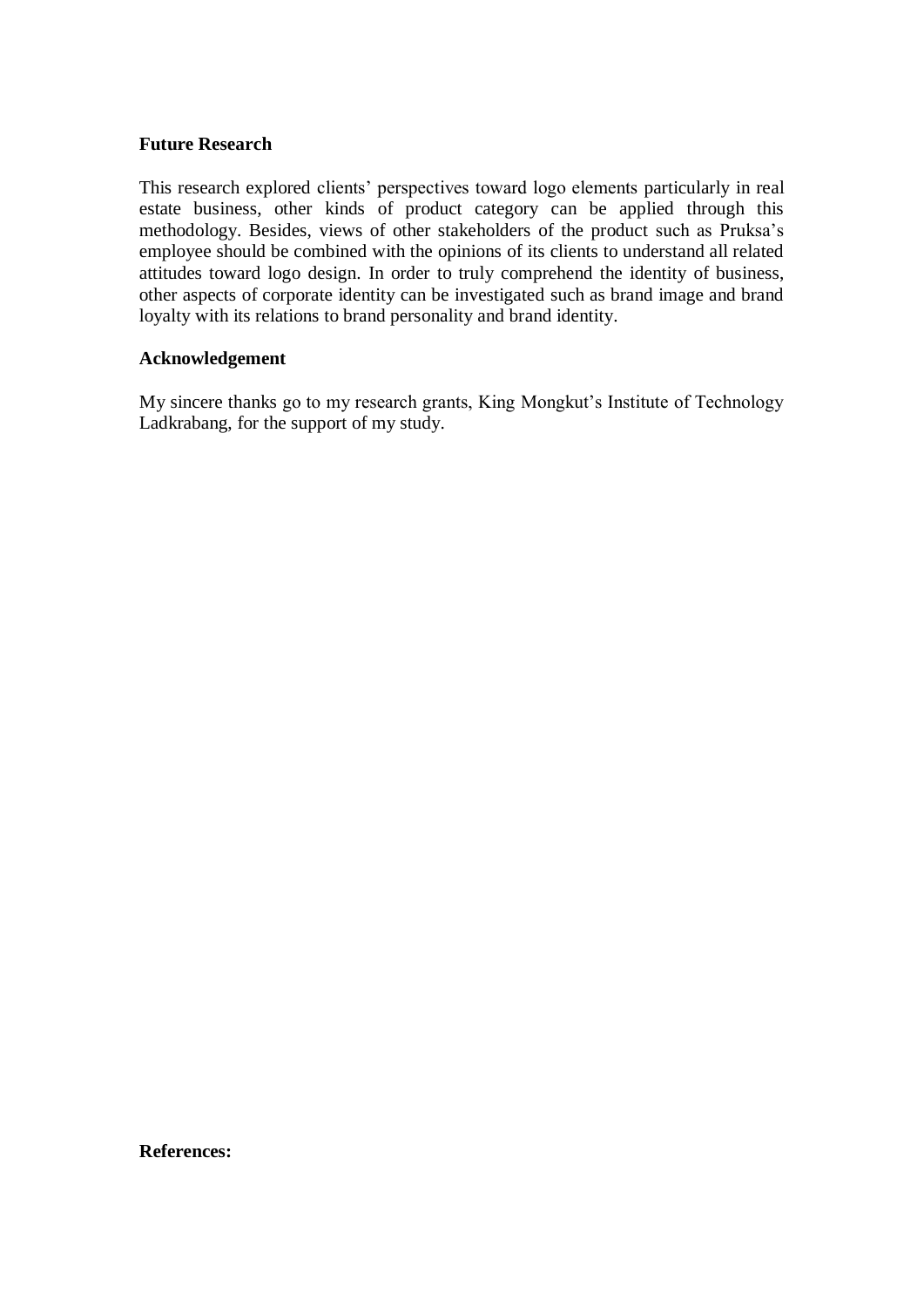#### **Future Research**

This research explored clients' perspectives toward logo elements particularly in real estate business, other kinds of product category can be applied through this methodology. Besides, views of other stakeholders of the product such as Pruksa's employee should be combined with the opinions of its clients to understand all related attitudes toward logo design. In order to truly comprehend the identity of business, other aspects of corporate identity can be investigated such as brand image and brand loyalty with its relations to brand personality and brand identity.

#### **Acknowledgement**

My sincere thanks go to my research grants, King Mongkut's Institute of Technology Ladkrabang, for the support of my study.

**References:**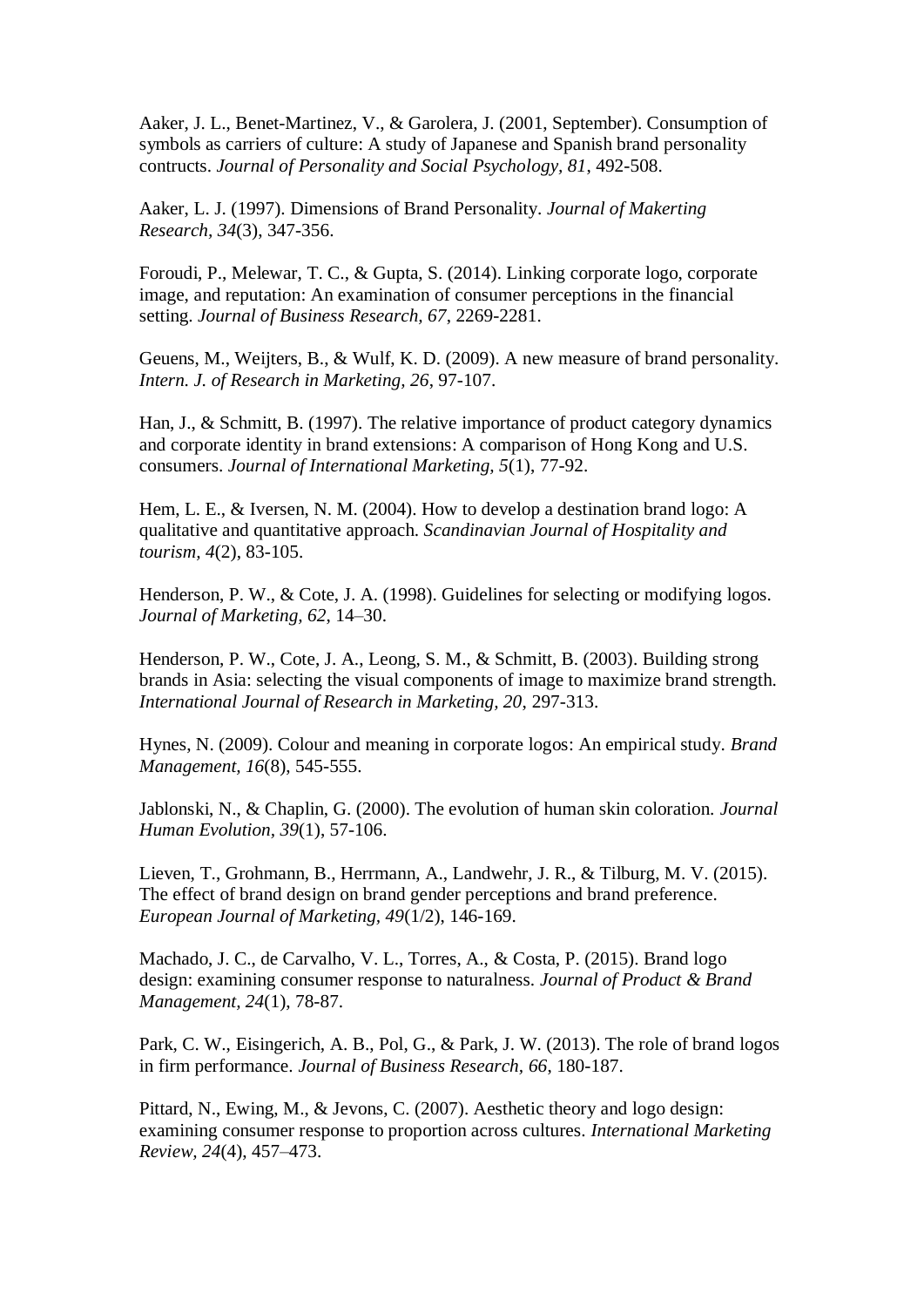Aaker, J. L., Benet-Martinez, V., & Garolera, J. (2001, September). Consumption of symbols as carriers of culture: A study of Japanese and Spanish brand personality contructs. *Journal of Personality and Social Psychology, 81*, 492-508.

Aaker, L. J. (1997). Dimensions of Brand Personality. *Journal of Makerting Research, 34*(3), 347-356.

Foroudi, P., Melewar, T. C., & Gupta, S. (2014). Linking corporate logo, corporate image, and reputation: An examination of consumer perceptions in the financial setting. *Journal of Business Research, 67*, 2269-2281.

Geuens, M., Weijters, B., & Wulf, K. D. (2009). A new measure of brand personality. *Intern. J. of Research in Marketing, 26*, 97-107.

Han, J., & Schmitt, B. (1997). The relative importance of product category dynamics and corporate identity in brand extensions: A comparison of Hong Kong and U.S. consumers. *Journal of International Marketing, 5*(1), 77-92.

Hem, L. E., & Iversen, N. M. (2004). How to develop a destination brand logo: A qualitative and quantitative approach. *Scandinavian Journal of Hospitality and tourism, 4*(2), 83-105.

Henderson, P. W., & Cote, J. A. (1998). Guidelines for selecting or modifying logos. *Journal of Marketing, 62*, 14–30.

Henderson, P. W., Cote, J. A., Leong, S. M., & Schmitt, B. (2003). Building strong brands in Asia: selecting the visual components of image to maximize brand strength. *International Journal of Research in Marketing, 20*, 297-313.

Hynes, N. (2009). Colour and meaning in corporate logos: An empirical study. *Brand Management, 16*(8), 545-555.

Jablonski, N., & Chaplin, G. (2000). The evolution of human skin coloration. *Journal Human Evolution, 39*(1), 57-106.

Lieven, T., Grohmann, B., Herrmann, A., Landwehr, J. R., & Tilburg, M. V. (2015). The effect of brand design on brand gender perceptions and brand preference. *European Journal of Marketing, 49*(1/2), 146-169.

Machado, J. C., de Carvalho, V. L., Torres, A., & Costa, P. (2015). Brand logo design: examining consumer response to naturalness. *Journal of Product & Brand Management, 24*(1), 78-87.

Park, C. W., Eisingerich, A. B., Pol, G., & Park, J. W. (2013). The role of brand logos in firm performance. *Journal of Business Research, 66*, 180-187.

Pittard, N., Ewing, M., & Jevons, C. (2007). Aesthetic theory and logo design: examining consumer response to proportion across cultures. *International Marketing Review, 24*(4), 457–473.